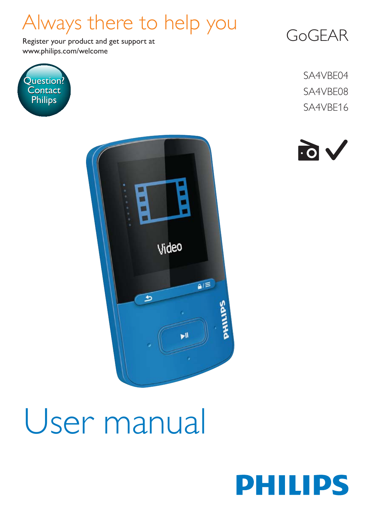## Always there to help you

www.philips.com/welcome Register your product and get support at



GoGEAR

SA4VBE04 SA4VBE08 SA4VBE16





# User manual

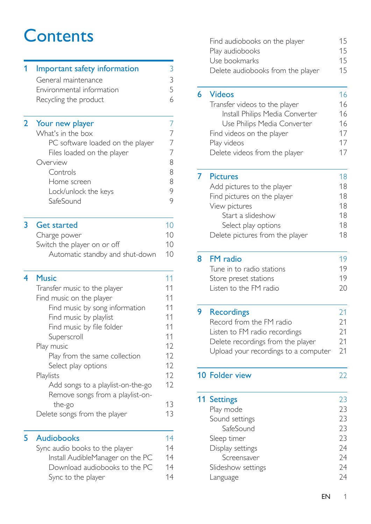## **Contents**

| 1              | Important safety information                                          |          |  |
|----------------|-----------------------------------------------------------------------|----------|--|
|                | General maintenance                                                   | 3        |  |
|                | Environmental information                                             | 5        |  |
|                | Recycling the product                                                 | 6        |  |
| $\overline{2}$ | Your new player                                                       | 7        |  |
|                | What's in the box                                                     | 7        |  |
|                | PC software loaded on the player                                      | 7        |  |
|                | Files loaded on the player                                            | 7        |  |
|                | Overview                                                              | 8        |  |
|                | Controls                                                              | 8        |  |
|                | Home screen                                                           | 8<br>9   |  |
|                | Lock/unlock the keys<br>SafeSound                                     | 9        |  |
|                |                                                                       |          |  |
| 3              | Get started                                                           | 10       |  |
|                | Charge power                                                          | 10       |  |
|                | Switch the player on or off                                           | 10       |  |
|                | Automatic standby and shut-down                                       | 10       |  |
| 4              | <b>Music</b>                                                          | 11       |  |
|                | Transfer music to the player                                          | 11       |  |
|                | Find music on the player                                              | 11       |  |
|                | Find music by song information                                        | 11       |  |
|                | Find music by playlist                                                | 11       |  |
|                | Find music by file folder                                             | 11       |  |
|                | Superscroll                                                           | 11       |  |
|                | Play music                                                            | 12       |  |
|                | Play from the same collection                                         | 12       |  |
|                | Select play options                                                   | 12<br>12 |  |
|                | Playlists                                                             | 12       |  |
|                | Add songs to a playlist-on-the-go<br>Remove songs from a playlist-on- |          |  |
|                | the-go                                                                | 13       |  |
|                | Delete songs from the player                                          | 13       |  |
|                |                                                                       |          |  |
|                |                                                                       |          |  |
| 5              | <b>Audiobooks</b>                                                     | 14       |  |
|                | Sync audio books to the player                                        | 14       |  |
|                | Install AudibleManager on the PC                                      | 14       |  |
|                | Download audiobooks to the PC<br>Sync to the player                   | 14<br>14 |  |

| Find audiobooks on the player     | 15 |
|-----------------------------------|----|
| Play audiobooks                   | 15 |
| Use bookmarks                     | 15 |
| Delete audiobooks from the player | 15 |
|                                   |    |

| 6 | <b>Videos</b>                   | 16 |
|---|---------------------------------|----|
|   | Transfer videos to the player   | 16 |
|   | Install Philips Media Converter | 16 |
|   | Use Philips Media Converter     | 16 |
|   | Find videos on the player       | 17 |
|   | Play videos                     | 17 |
|   | Delete videos from the player   | 17 |
|   | <b>Pictures</b>                 | 18 |
|   | Add pictures to the player      | 18 |
|   | Find pictures on the player     | 18 |
|   | View pictures                   | 18 |
|   | Start a slideshow               | 18 |
|   | Select play options             | 18 |
|   | Delete pictures from the player | 18 |
|   |                                 |    |

| 8 FM radio                | 19 |
|---------------------------|----|
| Tune in to radio stations | 19 |
| Store preset stations     | 19 |
| Listen to the FM radio    | 20 |

| <b>Recordings</b>                    | 21 |
|--------------------------------------|----|
| Record from the FM radio             | 21 |
| Listen to FM radio recordings        | 21 |
| Delete recordings from the player    | 21 |
| Upload your recordings to a computer | 21 |
|                                      |    |

[10 Folder view](#page-23-0) 22 **11 Settings** 23<br>Play mode 23 Play mode [Sound settings 23](#page-24-2) [SafeSound 23](#page-24-3)<br>
Partimer 23 Sleep timer [Display settings 24](#page-25-0) [Screensaver 24](#page-25-1) [Slideshow settings 24](#page-25-2) [Language 24](#page-25-3)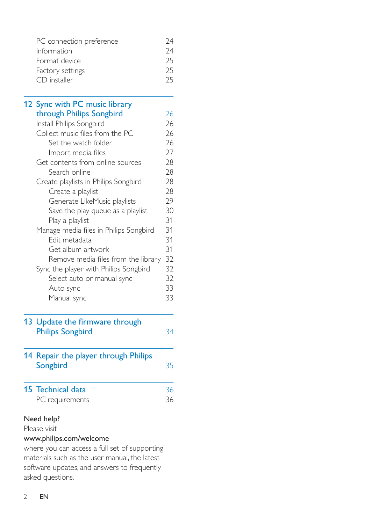| PC connection preference | 74 |
|--------------------------|----|
| Information              | 74 |
| Format device            | 25 |
| Factory settings         | 25 |
| CD installer             | 25 |
|                          |    |

| 12 Sync with PC music library          |    |
|----------------------------------------|----|
| through Philips Songbird               | 26 |
| Install Philips Songbird               | 26 |
| Collect music files from the PC        | 26 |
| Set the watch folder                   | 26 |
| Import media files                     | 27 |
| Get contents from online sources       | 28 |
| Search online                          | 28 |
| Create playlists in Philips Songbird   | 28 |
| Create a playlist                      | 28 |
| Generate LikeMusic playlists           | 29 |
| Save the play queue as a playlist      | 30 |
| Play a playlist                        | 31 |
| Manage media files in Philips Songbird | 31 |
| Edit metadata                          | 31 |
| Get album artwork                      | 31 |
| Remove media files from the library    | 32 |
| Sync the player with Philips Songbird  | 32 |
| Select auto or manual sync             | 32 |
| Auto sync                              | 33 |
| Manual sync                            | 33 |
|                                        |    |

| 13 Update the firmware through |    |
|--------------------------------|----|
| <b>Philips Songbird</b>        | 34 |
|                                |    |

| 14 Repair the player through Philips<br>Songbird | 35 |
|--------------------------------------------------|----|
| 15 Technical data                                | 36 |
| PC requirements                                  | 36 |

### Need help?

Please visit

### www.philips.com/welcome

where you can access a full set of supporting materials such as the user manual, the latest software updates, and answers to frequently asked questions.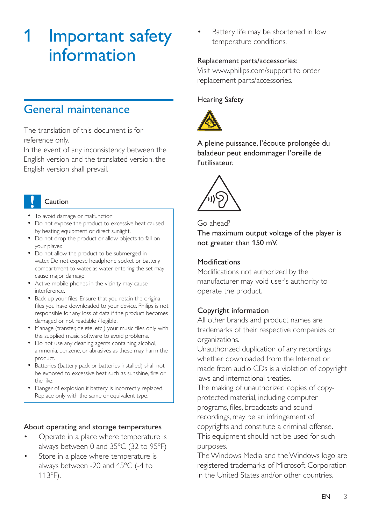## <span id="page-4-0"></span>1 Important safety information

### <span id="page-4-1"></span>General maintenance

The translation of this document is for reference only.

In the event of any inconsistency between the English version and the translated version, the English version shall prevail.

### Caution

- To avoid damage or malfunction:
- Do not expose the product to excessive heat caused by heating equipment or direct sunlight.
- Do not drop the product or allow objects to fall on your player.
- Do not allow the product to be submerged in water. Do not expose headphone socket or battery compartment to water, as water entering the set may cause major damage.
- Active mobile phones in the vicinity may cause interference.
- . Back up your files, Ensure that you retain the original files you have downloaded to your device. Philips is not responsible for any loss of data if the product becomes damaged or not readable / legible.
- Manage (transfer, delete, etc.) your music files only with the supplied music software to avoid problems.
- Do not use any cleaning agents containing alcohol, ammonia, benzene, or abrasives as these may harm the product.
- Batteries (battery pack or batteries installed) shall not be exposed to excessive heat such as sunshine, fire or the like.
- Danger of explosion if battery is incorrectly replaced. Replace only with the same or equivalent type.

#### About operating and storage temperatures

- Operate in a place where temperature is always between 0 and 35ºC (32 to 95ºF)
- Store in a place where temperature is always between -20 and 45ºC (-4 to 113ºF).

 Battery life may be shortened in low temperature conditions.

### Replacement parts/accessories:

Visit www.philips.com/support to order replacement parts/accessories.

### Hearing Safety



A pleine puissance, l'écoute prolongée du baladeur peut endommager l'oreille de l'utilisateur.



#### Go ahead?

The maximum output voltage of the player is not greater than 150 mV.

#### Modifications

Modifications not authorized by the manufacturer may void user's authority to operate the product.

### Copyright information

All other brands and product names are trademarks of their respective companies or organizations.

Unauthorized duplication of any recordings whether downloaded from the Internet or made from audio CDs is a violation of copyright laws and international treaties.

The making of unauthorized copies of copyprotected material, including computer programs, files, broadcasts and sound recordings, may be an infringement of copyrights and constitute a criminal offense. This equipment should not be used for such purposes.

The Windows Media and the Windows logo are registered trademarks of Microsoft Corporation in the United States and/or other countries.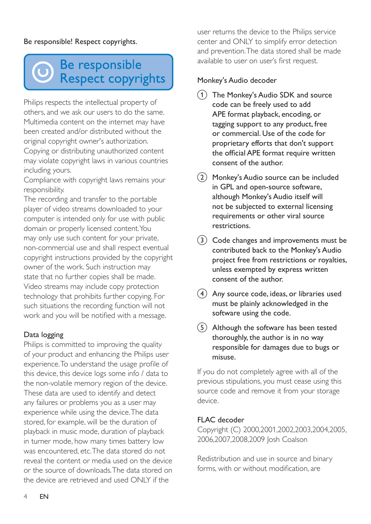### Be responsible! Respect copyrights.

## Be responsible **Respect copyrights**

Philips respects the intellectual property of others, and we ask our users to do the same. Multimedia content on the internet may have been created and/or distributed without the original copyright owner's authorization.

Copying or distributing unauthorized content may violate copyright laws in various countries including yours.

Compliance with copyright laws remains your responsibility.

The recording and transfer to the portable player of video streams downloaded to your computer is intended only for use with public domain or properly licensed content. You may only use such content for your private, non-commercial use and shall respect eventual copyright instructions provided by the copyright owner of the work. Such instruction may state that no further copies shall be made. Video streams may include copy protection technology that prohibits further copying. For such situations the recording function will not work and you will be notified with a message.

### Data logging

Philips is committed to improving the quality of your product and enhancing the Philips user experience. To understand the usage profile of this device, this device logs some info / data to the non-volatile memory region of the device. These data are used to identify and detect any failures or problems you as a user may experience while using the device. The data stored, for example, will be the duration of playback in music mode, duration of playback in turner mode, how many times battery low was encountered, etc. The data stored do not reveal the content or media used on the device or the source of downloads. The data stored on the device are retrieved and used ONLY if the

user returns the device to the Philips service center and ONLY to simplify error detection and prevention. The data stored shall be made available to user on user's first request.

### Monkey's Audio decoder

- (1) The Monkey's Audio SDK and source code can be freely used to add APE format playback, encoding, or tagging support to any product, free or commercial. Use of the code for proprietary efforts that don't support the official APE format require written consent of the author.
- $(2)$  Monkey's Audio source can be included in GPL and open-source software, although Monkey's Audio itself will not be subjected to external licensing requirements or other viral source restrictions.
- (3) Code changes and improvements must be contributed back to the Monkey's Audio project free from restrictions or royalties, unless exempted by express written consent of the author.
- $(4)$  Any source code, ideas, or libraries used must be plainly acknowledged in the software using the code.
- $(5)$  Although the software has been tested thoroughly, the author is in no way responsible for damages due to bugs or misuse.

If you do not completely agree with all of the previous stipulations, you must cease using this source code and remove it from your storage device.

#### FLAC decoder

Copyright (C) 2000,2001,2002,2003,2004,2005, 2006,2007,2008,2009 Josh Coalson

Redistribution and use in source and binary forms, with or without modification, are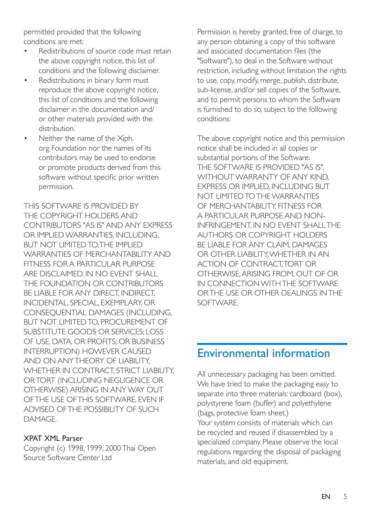permitted provided that the following conditions are met:

- Redistributions of source code must retain the above copyright notice, this list of conditions and the following disclaimer.
- Redistributions in binary form must reproduce the above copyright notice, this list of conditions and the following disclaimer in the documentation and/ or other materials provided with the distribution.
- Neither the name of the Xiph. org Foundation nor the names of its contributors may be used to endorse or promote products derived from this software without specific prior written permission.

THIS SOFTWARE IS PROVIDED BY THE COPYRIGHT HOLDERS AND CONTRIBUTORS "AS IS" AND ANY EXPRESS OR IMPLIED WARRANTIES, INCLUDING, BUT NOT LIMITED TO, THE IMPLIED WARRANTIES OF MERCHANTABILITY AND FITNESS FOR A PARTICULAR PURPOSE ARE DISCLAIMED. IN NO EVENT SHALL THE FOUNDATION OR CONTRIBUTORS BE LIABLE FOR ANY DIRECT, INDIRECT, INCIDENTAL, SPECIAL, EXEMPLARY, OR CONSEQUENTIAL DAMAGES (INCLUDING, BUT NOT LIMITED TO, PROCUREMENT OF SUBSTITUTE GOODS OR SERVICES; LOSS OF USE, DATA, OR PROFITS; OR BUSINESS INTERRUPTION) HOWEVER CAUSED AND ON ANY THEORY OF LIABILITY, WHETHER IN CONTRACT, STRICT LIABILITY. OR TORT (INCLUDING NEGLIGENCE OR OTHERWISE) ARISING IN ANY WAY OUT OF THE USE OF THIS SOFTWARE, EVEN IF ADVISED OF THE POSSIBILITY OF SUCH **DAMAGE** 

### XPAT XML Parser

Copyright (c) 1998, 1999, 2000 Thai Open Source Software Center Ltd

Permission is hereby granted, free of charge, to any person obtaining a copy of this software and associated documentation files (the "Software"), to deal in the Software without restriction, including without limitation the rights to use, copy, modify, merge, publish, distribute, sub-license, and/or sell copies of the Software, and to permit persons to whom the Software is furnished to do so, subject to the following conditions:

The above copyright notice and this permission notice shall be included in all copies or substantial portions of the Software. THE SOFTWARE IS PROVIDED "AS IS", WITHOUT WARRANTY OF ANY KIND. EXPRESS OR IMPLIED, INCLUDING BUT NOT LIMITED TO THE WARRANTIES OF MERCHANTABILITY, FITNESS FOR A PARTICULAR PURPOSE AND NON-INFRINGEMENT. IN NO EVENT SHALL THE AUTHORS OR COPYRIGHT HOLDERS BE LIABLE FOR ANY CLAIM, DAMAGES OR OTHER LIABILITY, WHETHER IN AN ACTION OF CONTRACT, TORT OR OTHERWISE, ARISING FROM, OUT OF OR IN CONNECTION WITH THE SOFTWARE OR THE USE OR OTHER DEALINGS IN THE **SOFTWARE** 

### <span id="page-6-0"></span>Environmental information

All unnecessary packaging has been omitted. We have tried to make the packaging easy to separate into three materials: cardboard (box), polystyrene foam (buffer) and polyethylene (bags, protective foam sheet.) Your system consists of materials which can be recycled and reused if disassembled by a specialized company. Please observe the local regulations regarding the disposal of packaging materials, and old equipment.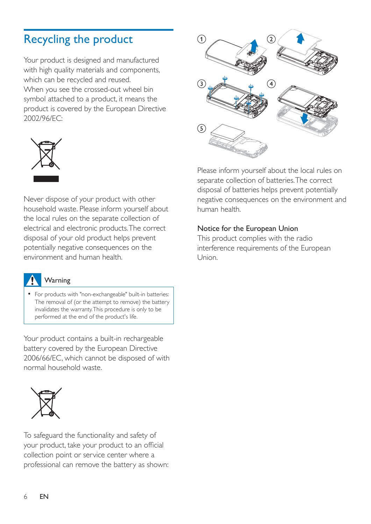## <span id="page-7-0"></span>Recycling the product

Your product is designed and manufactured with high quality materials and components, which can be recycled and reused. When you see the crossed-out wheel bin symbol attached to a product, it means the product is covered by the European Directive 2002/96/EC:



Never dispose of your product with other household waste. Please inform yourself about the local rules on the separate collection of electrical and electronic products. The correct disposal of your old product helps prevent potentially negative consequences on the environment and human health.



#### Warning

 For products with "non-exchangeable" built-in batteries: The removal of (or the attempt to remove) the battery invalidates the warranty. This procedure is only to be performed at the end of the product's life.

Your product contains a built-in rechargeable battery covered by the European Directive 2006/66/EC, which cannot be disposed of with normal household waste.



To safeguard the functionality and safety of your product, take your product to an official collection point or service center where a professional can remove the battery as shown:



Please inform yourself about the local rules on separate collection of batteries. The correct disposal of batteries helps prevent potentially negative consequences on the environment and human health.

#### Notice for the European Union

This product complies with the radio interference requirements of the European Union.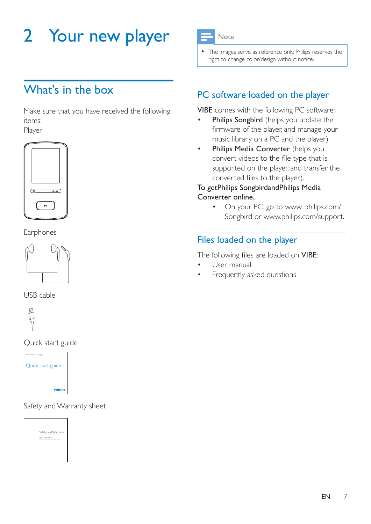## <span id="page-8-0"></span>2 Your new player



 The images serve as reference only. Philips reserves the right to change color/design without notice.

## <span id="page-8-1"></span>What's in the hox

Make sure that you have received the following items: Player



Earphones



USB cable



Quick start guide



Safety and Warranty sheet



### <span id="page-8-2"></span>PC software loaded on the player

VIBE comes with the following PC software:

- Philips Songbird (helps you update the firmware of the player, and manage your music library on a PC and the player).
- Philips Media Converter (helps you convert videos to the file type that is supported on the player, and transfer the converted files to the player).

### To getPhilips SongbirdandPhilips Media Converter online,

 On your PC, go to [www. philips.com/](http://www.philips.com/Songbird) [Songbird](http://www.philips.com/Songbird) or [www.philips.com/support](http://www.philips.com/support).

### <span id="page-8-3"></span>Files loaded on the player

The following files are loaded on VIBE:

- User manual
- Frequently asked questions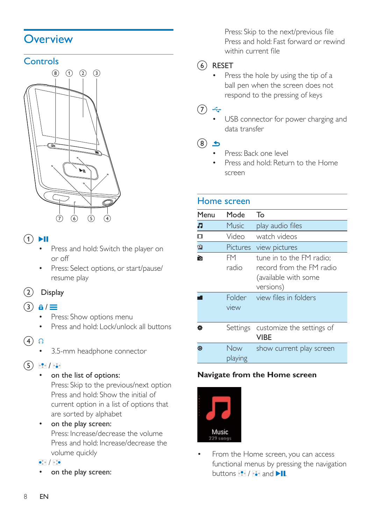### <span id="page-9-0"></span>**Overview**

### <span id="page-9-1"></span>**Controls**



### $\textcircled{1}$

- Press and hold: Switch the player on or off
- Press: Select options, or start/pause/ resume play

### $(2)$  Display

### $\circ$  a/ $\equiv$

- Press: Show options menu
- Press and hold: Lock/unlock all buttons
- $\circ$   $\circ$ 
	- 3.5-mm headphone connector
- $\binom{5}{5}$   $\frac{9}{5}$  / $\frac{3}{5}$ 
	- on the list of options:

Press: Skip to the previous/next option Press and hold: Show the initial of current option in a list of options that are sorted by alphabet

 on the play screen: Press: Increase/decrease the volume Press and hold: Increase/decrease the volume quickly

 $\bullet_{\circ}^{\circ}\circ$  /  $\circ_{\circ}^{\circ}\bullet$ 

on the play screen:

Press: Skip to the next/previous file Press and hold: Fast forward or rewind within current file

### f RESET

 Press the hole by using the tip of a ball pen when the screen does not respond to the pressing of keys

### $(7)$

 USB connector for power charging and data transfer

### $(8)$  5

- Press: Back one level
- Press and hold: Return to the Home screen

### <span id="page-9-2"></span>Home screen

| Menu           | Mode                          | То                                                                                                                 |
|----------------|-------------------------------|--------------------------------------------------------------------------------------------------------------------|
| Л              | Music                         | play audio files                                                                                                   |
| ◫              | Video                         | watch videos                                                                                                       |
| 図              | <b>Pictures</b>               | view pictures                                                                                                      |
| 韵              | FM<br>radio<br>Folder<br>view | tune in to the FM radio;<br>record from the FM radio<br>(available with some<br>versions)<br>view files in folders |
| ά              | Settings                      | customize the settings of<br><b>VIBE</b>                                                                           |
| $\circledcirc$ | Now<br>playing                | show current play screen                                                                                           |

### **Navigate from the Home screen**



 From the Home screen, you can access functional menus by pressing the navigation buttons  $\mathbf{P}$  /  $\mathbf{G}$  and  $\mathbf{H}$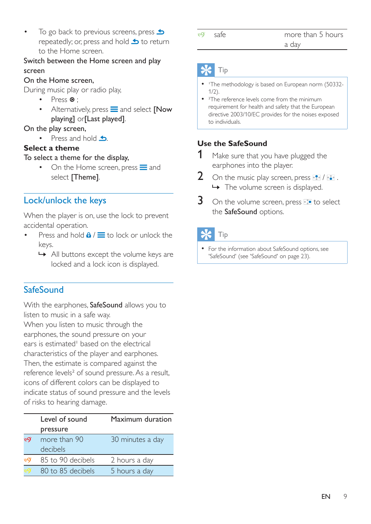To go back to previous screens, press  $\triangle$ repeatedly; or, press and hold  $\blacktriangle$  to return to the Home screen.

### Switch between the Home screen and play screen

### On the Home screen,

During music play or radio play,

- Press  $\odot$  :
- Alternatively, press  $\equiv$  and select [Now playing] or[Last played].

### On the play screen,

• Press and hold  $\triangle$ .

### **Select a theme**

### To select a theme for the display,

On the Home screen, press  $\equiv$  and select [Theme].

### <span id="page-10-0"></span>Lock/unlock the keys

When the player is on, use the lock to prevent accidental operation.

- Press and hold  $\theta$  /  $\equiv$  to lock or unlock the keys.
	- » All buttons except the volume keys are locked and a lock icon is displayed.

### <span id="page-10-1"></span>**SafeSound**

With the earphones, SafeSound allows you to listen to music in a safe way.

When you listen to music through the earphones, the sound pressure on your ears is estimated<sup>1</sup> based on the electrical characteristics of the player and earphones. Then, the estimate is compared against the reference levels² of sound pressure. As a result, icons of different colors can be displayed to indicate status of sound pressure and the levels of risks to hearing damage.

|                 | Level of sound           | Maximum duration |
|-----------------|--------------------------|------------------|
|                 | pressure                 |                  |
| <b>eg</b>       | more than 90<br>decibels | 30 minutes a day |
| <sup>.60)</sup> | 85 to 90 decibels        | 2 hours a day    |
|                 | 80 to 85 decibels        | 5 hours a day    |

6O'

### safe more than 5 hours a day

### Tip

- 'The methodology is based on European norm (50332-1/2).
- <sup>2</sup>The reference levels come from the minimum requirement for health and safety that the European directive 2003/10/EC provides for the noises exposed to individuals.

### **Use the SafeSound**

- 1 Make sure that you have plugged the earphones into the player.
- 2 On the music play screen, press  $\mathbb{R}$  /  $\mathbb{R}$ . → The volume screen is displayed.
- $3$  On the volume screen, press  $\cdot$  to select the SafeSound options.

### Tip

 [For the information about SafeSound options, see](#page-24-3)  ['SafeSound'](#page-24-3) (see 'SafeSound' on page [23\)](#page-24-3).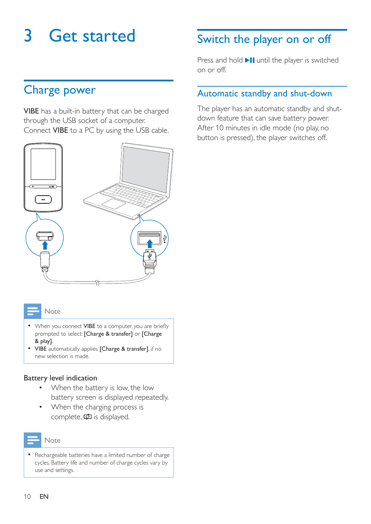## <span id="page-11-0"></span>3 Get started

## <span id="page-11-1"></span>Charge power

VIBE has a built-in battery that can be charged through the USB socket of a computer. Connect VIBE to a PC by using the USB cable.



#### Note

- When you connect VIBE to a computer, you are briefly prompted to select: [Charge & transfer] or [Charge & play].
- VIBE automatically applies [Charge & transfer], if no new selection is made.

#### Battery level indication

- When the battery is low, the low battery screen is displayed repeatedly.
- When the charging process is complete,  $\Phi$  is displayed.



• Rechargeable batteries have a limited number of charge cycles. Battery life and number of charge cycles vary by use and settings.

## <span id="page-11-2"></span>Switch the player on or off

Press and hold  $\blacktriangleright$  II until the player is switched on or off.

### <span id="page-11-3"></span>Automatic standby and shut-down

The player has an automatic standby and shutdown feature that can save battery power. After 10 minutes in idle mode (no play, no button is pressed), the player switches off.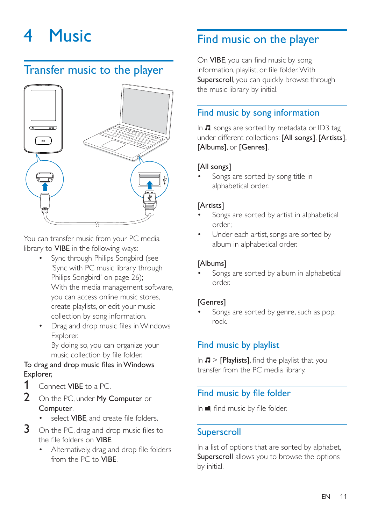## <span id="page-12-0"></span>4 Music

### <span id="page-12-1"></span>Transfer music to the player



You can transfer music from your PC media library to VIBE in the following ways:

- [Sync through Philips Songbird](#page-27-0) (see 'Sync with PC music library through Philips Songbird' on page [26](#page-27-0)); With the media management software, you can access online music stores, create playlists, or edit your music collection by song information.
- Drag and drop music files in Windows Explorer. By doing so, you can organize your music collection by file folder.

### To drag and drop music files in Windows Explorer,

- **1** Connect **VIBE** to a PC.
- 2 On the PC, under My Computer or Computer,
	- select VIRE and create file folders
- $3$  On the PC, drag and drop music files to the file folders on VIBE.
	- Alternatively, drag and drop file folders from the PC to VIBE.

## <span id="page-12-2"></span>Find music on the player

On VIBE, you can find music by song information, playlist, or file folder, With Superscroll, you can quickly browse through the music library by initial.

### <span id="page-12-3"></span>Find music by song information

In  $\Pi$ , songs are sorted by metadata or ID3 tag under different collections: [All songs], [Artists], [Albums], or [Genres].

### [All songs]

 Songs are sorted by song title in alphabetical order.

### [Artists]

- Songs are sorted by artist in alphabetical order;
- Under each artist, songs are sorted by album in alphabetical order.

### [Albums]

 Songs are sorted by album in alphabetical order.

### [Genres]

 Songs are sorted by genre, such as pop, rock.

### <span id="page-12-4"></span>Find music by playlist

In  $\pi$  > [Playlists], find the playlist that you transfer from the PC media library.

### <span id="page-12-5"></span>Find music by file folder

In  $\blacksquare$ , find music by file folder.

### <span id="page-12-6"></span>**Superscroll**

In a list of options that are sorted by alphabet, Superscroll allows you to browse the options by initial.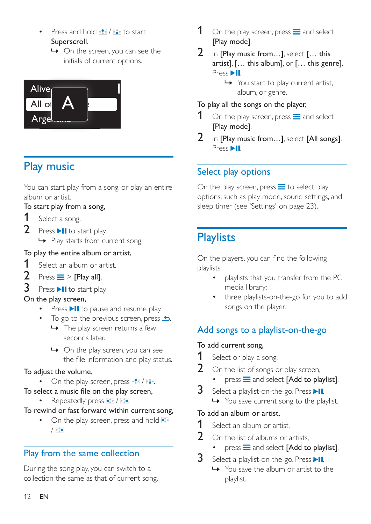- Press and hold  $\bullet$  /  $\bullet$  to start Superscroll.
	- » On the screen, you can see the initials of current options.



## <span id="page-13-0"></span>Play music

You can start play from a song, or play an entire album or artist.

### To start play from a song,

- 1 Select a song.
- 2 Press  $\blacktriangleright$ II to start play.
	- » Play starts from current song.

### To play the entire album or artist,

- **1** Select an album or artist.<br>**2** Press  $\equiv$  > **FP** Prav all
- $Press \equiv >$  [Play all].
- $3$  Press  $\blacktriangleright$ II to start play.

### On the play screen,

- Press **>II** to pause and resume play.
- To go to the previous screen, press  $\triangle$ .
	- $\rightarrow$  The play screen returns a few seconds later.
	- » On the play screen, you can see the file information and play status.

### To adjust the volume,

- $\bullet$  On the play screen, press  $\bullet$  /  $\bullet$ .
- To select a music file on the play screen, • Repeatedly press • / ...
- To rewind or fast forward within current song,
	- On the play screen, press and hold  $\bullet$  $/$  . .

### <span id="page-13-1"></span>Play from the same collection

During the song play, you can switch to a collection the same as that of current song.

- [Play mode].
- 2 In [Play music from...], select  $[...$  this artist], [… this album], or [… this genre]. Press **>II**.
	- » You start to play current artist, album, or genre.

### To play all the songs on the player,

- 1 On the play screen, press  $\equiv$  and select [Play mode].
- 2 In [Play music from...], select  $[All$  songs]. Press **II**

### <span id="page-13-2"></span>Select play options

On the play screen, press  $\equiv$  to select play options, such as [play mode, sound settings, and](#page-24-0)  [sleep timer](#page-24-0) (see 'Settings' on page [23](#page-24-0)).

## <span id="page-13-3"></span>**Playlists**

On the players, you can find the following playlists:

- playlists that you transfer from the PC media library;
- three playlists-on-the-go for you to add songs on the player.

### <span id="page-13-4"></span>Add songs to a playlist-on-the-go

### To add current song,

- **1** Select or play a song.
- $2$  On the list of songs or play screen,
	- $press \equiv$  and select [Add to playlist].
- **3** Select a playlist-on-the-go. Press  $\blacktriangleright$ II.
	- » You save current song to the playlist.

### To add an album or artist,

- **1** Select an album or artist.
- 2 On the list of albums or artists,
	- $pres \equiv$  and select [Add to playlist].
- **3** Select a playlist-on-the-go. Press  $\blacktriangleright$ II.
	- » You save the album or artist to the playlist.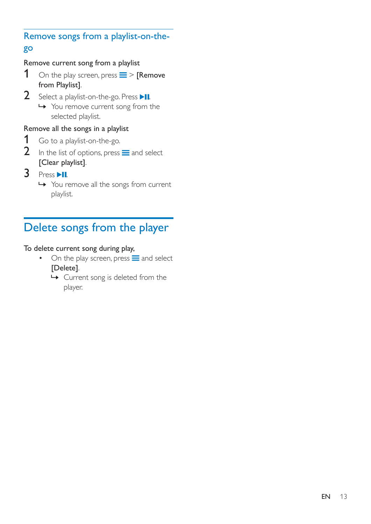### <span id="page-14-0"></span>Remove songs from a playlist-on-thego

### Remove current song from a playlist

- 1 On the play screen, press  $\equiv$  > [Remove from Playlist].
- 2 Select a playlist-on-the-go. Press  $\blacktriangleright$ II.
	- » You remove current song from the selected playlist.

### Remove all the songs in a playlist

- **1** Go to a playlist-on-the-go.<br>**2** In the list of options, press
- In the list of options, press  $\equiv$  and select [Clear playlist].
- $3$  Press  $H$ .
	- » You remove all the songs from current playlist.

## <span id="page-14-1"></span>Delete songs from the player

### To delete current song during play,

- $\bullet$  On the play screen, press  $\equiv$  and select [Delete].
	- » Current song is deleted from the player.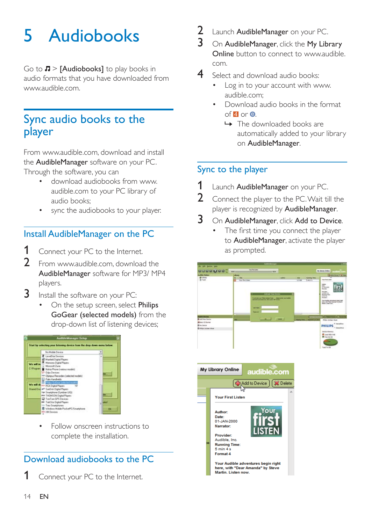## <span id="page-15-0"></span>5 Audiobooks

Go to  $\sqrt{ }$  > [Audiobooks] to play books in audio formats that you have downloaded from [www.audible.com.](http://www.audible.com)

### <span id="page-15-1"></span>Sync audio books to the player

From [www.audible.com,](http://www.audible.com) download and install the AudibleManager software on your PC. Through the software, you can

- download audiobooks from [www.](http://www.audible.com) [audible.com](http://www.audible.com) to your PC library of audio books;
- sync the audiobooks to your player.

### <span id="page-15-2"></span>Install AudibleManager on the PC

- 1 Connect your PC to the Internet.
- **2** From [www.audible.com,](http://www.audible.com) download the AudibleManager software for MP3/ MP4 players.
- **3** Install the software on your PC:
	- On the setup screen, select Philips GoGear (selected models) from the drop-down list of listening devices;



 Follow onscreen instructions to complete the installation.

### <span id="page-15-3"></span>Download audiobooks to the PC

Connect your PC to the Internet.

- 2 Launch AudibleManager on your PC.<br>3 On AudibleManager click the My Lib
- On AudibleManager, click the My Library Online button to connect to [www.audible.](http://www.audible.com) [com.](http://www.audible.com)
- 4 Select and download audio books:
	- Log in to your account with [www.](http://www.audible.com) [audible.com;](http://www.audible.com)
	- Download audio books in the format  $of 4$  or  $\theta$ 
		- » The downloaded books are automatically added to your library on AudibleManager.

### <span id="page-15-4"></span>Sync to the player

- 1 Launch AudibleManager on your PC.
- 2 Connect the player to the PC. Wait till the player is recognized by AudibleManager.

### 3 On AudibleManager, click Add to Device.

The first time you connect the player to AudibleManager, activate the player as prompted.



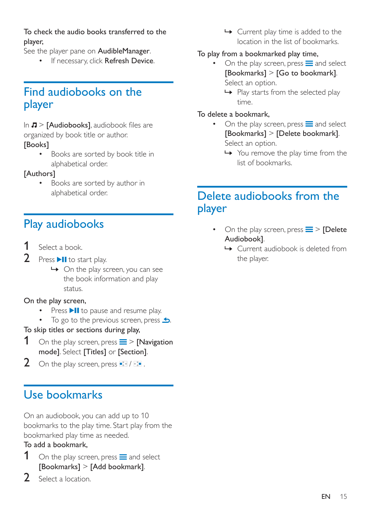### To check the audio books transferred to the player,

See the player pane on **AudibleManager**.

• If necessary, click Refresh Device.

## <span id="page-16-0"></span>Find audiobooks on the player

In  $\pi$  > [Audiobooks], audiobook files are organized by book title or author.

### [Books]

 Books are sorted by book title in alphabetical order.

### [Authors]

 Books are sorted by author in alphabetical order.

## <span id="page-16-1"></span>Play audiobooks

- Select a book.
- 2 Press  $\blacktriangleright$  II to start play.
	- $\rightarrow$  On the play screen, you can see the book information and play status.

### On the play screen,

- Press  $\blacktriangleright$  II to pause and resume play.
- $\bullet$  To go to the previous screen, press  $\bullet$ .

### To skip titles or sections during play,

- 1 On the play screen, press  $\equiv$  > [Navigation] mode]. Select [Titles] or [Section].
- 2 On the play screen, press  $\bullet$  /  $\bullet$ .

## <span id="page-16-2"></span>Use bookmarks

On an audiobook, you can add up to 10 bookmarks to the play time. Start play from the bookmarked play time as needed.

### To add a bookmark,

- 1 On the play screen, press  $\equiv$  and select [Bookmarks] > [Add bookmark].
- 2 Select a location.

← Current play time is added to the location in the list of bookmarks.

### To play from a bookmarked play time,

- On the play screen, press  $\equiv$  and select [Bookmarks] > [Go to bookmark]. Select an option.
	- → Play starts from the selected play time.

### To delete a bookmark,

- On the play screen, press  $\equiv$  and select [Bookmarks] > [Delete bookmark]. Select an option.
	- » You remove the play time from the list of bookmarks.

### <span id="page-16-3"></span>Delete audiobooks from the player

- On the play screen, press  $\equiv$  > [Delete Audiobook].
	- » Current audiobook is deleted from the player.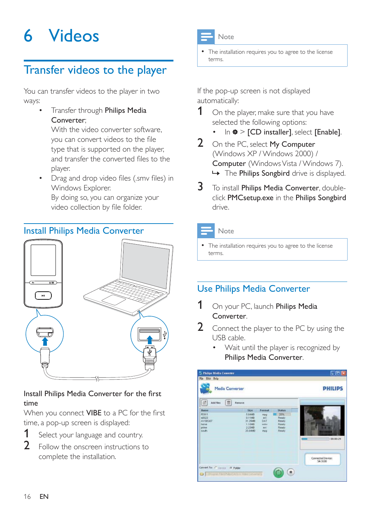## <span id="page-17-0"></span>6 Videos

## <span id="page-17-1"></span>Transfer videos to the player

You can transfer videos to the player in two ways:

 Transfer through Philips Media Converter;

With the video converter software, you can convert videos to the file type that is supported on the player, and transfer the converted files to the player.

Drag and drop video files (.smy files) in Windows Explorer. By doing so, you can organize your video collection by file folder.

### <span id="page-17-2"></span>Install Philips Media Converter



## time

When you connect VIBE to a PC for the first time, a pop-up screen is displayed:

- **1** Select your language and country.
- 2 Follow the onscreen instructions to complete the installation.



#### Note

 The installation requires you to agree to the license terms.

If the pop-up screen is not displayed automatically:

- 1 On the player, make sure that you have selected the following options:
	- In  $\ast$  > [CD installer], select [Enable].
- 2 On the PC, select My Computer (Windows XP / Windows 2000) / Computer (Windows Vista / Windows 7).  $\rightarrow$  The Philips Songbird drive is displayed.
- 3 To install Philips Media Converter, doubleclick PMCsetup.exe in the Philips Songbird drive.

### Note

 The installation requires you to agree to the license terms.

### <span id="page-17-3"></span>Use Philips Media Converter

- 1 On your PC, launch Philips Media Converter.
- 2 Connect the player to the PC by using the USB cable.
	- Wait until the player is recognized by Philips Media Converter.

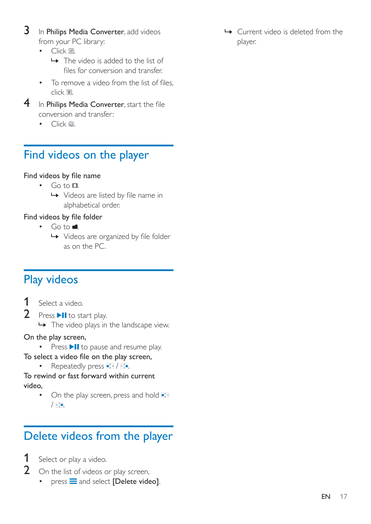- 3 In Philips Media Converter, add videos from your PC library:
	- $\bullet$   $C$  lick  $\boxplus$ 
		- » The video is added to the list of files for conversion and transfer.
	- To remove a video from the list of files.  $click$   $\blacksquare$
- $4$  In Philips Media Converter, start the file conversion and transfer:
	- $\bullet$   $C$  lick  $\circledcirc$

## <span id="page-18-0"></span>Find videos on the player

### Find videos by file name

- $\cdot$  Go to  $\Box$ 
	- $\rightarrow$  Videos are listed by file name in alphabetical order.

### Find videos by file folder

- $\cdot$  Go to  $\blacksquare$ .
	- $\rightarrow$  Videos are organized by file folder as on the PC.

## <span id="page-18-1"></span>Play videos

- 1 Select a video.
- 2 Press  $\blacktriangleright$  II to start play.  $\rightarrow$  The video plays in the landscape view.

### On the play screen,

• Press II to pause and resume play.

### To select a video file on the play screen,

• Repeatedly press  $\bullet$  /  $\bullet$ .

To rewind or fast forward within current video,

• On the play screen, press and hold •  $/$  ...

## <span id="page-18-2"></span>Delete videos from the player

- Select or play a video.
- 2 On the list of videos or play screen,
	- $\bullet$  press  $\equiv$  and select [Delete video].

 » Current video is deleted from the player.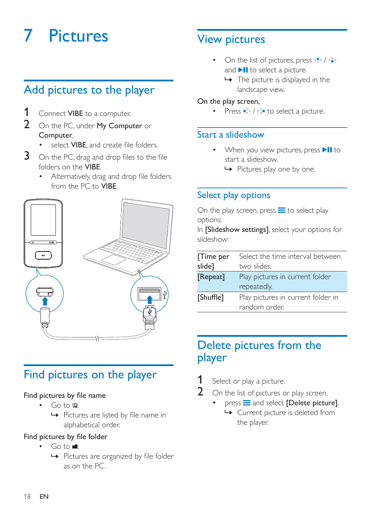## <span id="page-19-0"></span>**Pictures**

## <span id="page-19-1"></span>Add pictures to the player

- Connect VIBE to a computer.
- 2 On the PC, under My Computer or Computer,
	- select **VIBE** and create file folders.
- $3$  On the PC, drag and drop files to the file folders on the VIBE.
	- Alternatively, drag and drop file folders from the PC to VIBE.



### <span id="page-19-2"></span>Find pictures on the player

#### Find pictures by file name

- $\cdot$  Go to  $\circledast$ 
	- $\rightarrow$  Pictures are listed by file name in alphabetical order.

#### Find pictures by file folder

- $Go to \blacksquare$ 
	- $\rightarrow$  Pictures are organized by file folder as on the PC.

## <span id="page-19-3"></span>View pictures

- $\bullet$  On the list of pictures, press  $\bullet$  /  $\bullet$ and  $\blacktriangleright$  **II** to select a picture.
	- $\rightarrow$  The picture is displayed in the landscape view.

#### On the play screen,

 $\cdot$  Press  $\cdot$  /  $\cdot$  to select a picture.

### <span id="page-19-4"></span>Start a slideshow

- $\cdot$  When you view pictures, press  $\blacktriangleright$  **II** to start a slideshow.
	- » Pictures play one by one.

### <span id="page-19-5"></span>Select play options

On the play screen, press  $\equiv$  to select play options:

In [Slideshow settings], select your options for slideshow:

| [Time per<br>slide] | Select the time interval between<br>two slides.     |  |
|---------------------|-----------------------------------------------------|--|
| [Repeat]            | Play pictures in current folder<br>repeatedly.      |  |
| [Shuffle]           | Play pictures in current folder in<br>random order. |  |

### <span id="page-19-6"></span>Delete pictures from the player

- **1** Select or play a picture.
- $2$  On the list of pictures or play screen,
	- $pres \equiv$  and select [Delete picture]. » Current picture is deleted from the player.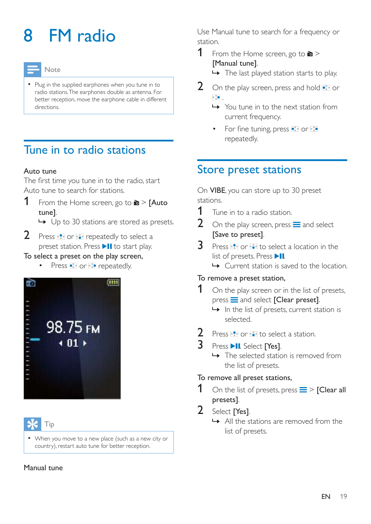## <span id="page-20-0"></span>8 FM radio

### Note

• Plug in the supplied earphones when you tune in to radio stations. The earphones double as antenna. For better reception, move the earphone cable in different directions.

## <span id="page-20-1"></span>Tune in to radio stations

### Auto tune

The first time you tune in to the radio, start Auto tune to search for stations.

**1** From the Home screen, go to  $\mathbf{a}$  > **[Auto** tune].

 $\rightarrow$  Up to 30 stations are stored as presets.

 $2$  Press  $\bullet$  or  $\bullet$  repeatedly to select a preset station. Press II to start play.

### To select a preset on the play screen,

• Press • or **Press • Press •** or **Press •** repeatedly.



### Tip

 When you move to a new place (such as a new city or country), restart auto tune for better reception.

#### Manual tune

Use Manual tune to search for a frequency or station.

**1** From the Home screen, go to  $\ge$ [Manual tune].

 $\rightarrow$  The last played station starts to play.

- 2 On the play screen, press and hold  $\bullet$  or  $\overline{\mathbb{R}^2_{\mathbb{R}}\bullet}$  .
	- » You tune in to the next station from current frequency.
	- For fine tuning, press or · repeatedly.

## <span id="page-20-2"></span>Store preset stations

On VIBE, you can store up to 30 preset stations.

- **1** Tune in to a radio station.<br>**2** On the play screen press
- On the play screen, press  $\equiv$  and select [Save to preset].
- 3 Press **to** or **to** to select a location in the list of presets. Press  $\blacktriangleright$ II.
	- » Current station is saved to the location.

### To remove a preset station,

- $1$  On the play screen or in the list of presets,  $p$ ress  $\equiv$  and select **[Clear preset]**.
	- $\rightarrow$  In the list of presets, current station is selected.
- Press **:** or **c** to select a station.
- 3 Press II. Select [Yes].
	- $\rightarrow$  The selected station is removed from the list of presets.

### To remove all preset stations,

- On the list of presets, press  $\equiv$  > [Clear all presets].
- 2 Select [Yes].
	- » All the stations are removed from the list of presets.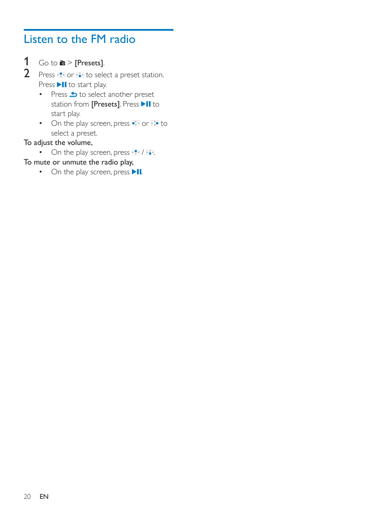## <span id="page-21-0"></span>Listen to the FM radio

- 1 Go to  $\ge$  [Presets].
- 2 Press **P** or **to** to select a preset station. Press II to start play.
	- $\cdot$  Press  $\triangle$  to select another preset station from [Presets]. Press >II to start play.
	- On the play screen, press  $\bullet\bullet$  or  $\bullet\bullet$  to select a preset.

### To adjust the volume,

- $\bullet$  On the play screen, press  $\bullet$  /  $\bullet$ .
- To mute or unmute the radio play,
	- $\bullet$  On the play screen, press  $\blacktriangleright$  II.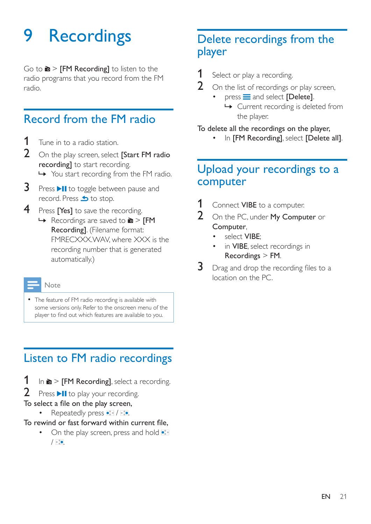## <span id="page-22-0"></span>9 Recordings

Go to  $\geq$  FM Recording to listen to the radio programs that you record from the FM radio.

## <span id="page-22-1"></span>Record from the FM radio

- **1** Tune in to a radio station.
- 2 On the play screen, select [Start FM radio recording] to start recording.
	- » You start recording from the FM radio.
- $3$  Press  $\blacktriangleright$ II to toggle between pause and record. Press **b** to stop.
- 4 Press [Yes] to save the recording.
	- $\rightarrow$  Recordings are saved to  $\geq$  [FM Recording]. (Filename format: FMRECXXX.WAV, where XXX is the recording number that is generated automatically.)

#### Note

 The feature of FM radio recording is available with some versions only. Refer to the onscreen menu of the player to find out which features are available to you.

## <span id="page-22-2"></span>Listen to FM radio recordings

- 1 In  $\ge$  [FM Recording], select a recording.
- Press >II to play your recording.
- To select a file on the play screen,
	- Repeatedly press / ...
- To rewind or fast forward within current file,
	- On the play screen, press and hold ...  $/$  .  $\sim$

### <span id="page-22-3"></span>Delete recordings from the player

- **1** Select or play a recording.
- $2$  On the list of recordings or play screen,
	- $press \equiv$  and select [Delete]. » Current recording is deleted from the player.

### To delete all the recordings on the player,

In [FM Recording], select [Delete all].

### <span id="page-22-4"></span>Upload your recordings to a computer

- 1 Connect VIBE to a computer.
- 2 On the PC, under My Computer or Computer,
	- select VIBE;
	- in VIBE, select recordings in Recordings > FM.
- $3$  Drag and drop the recording files to a location on the PC.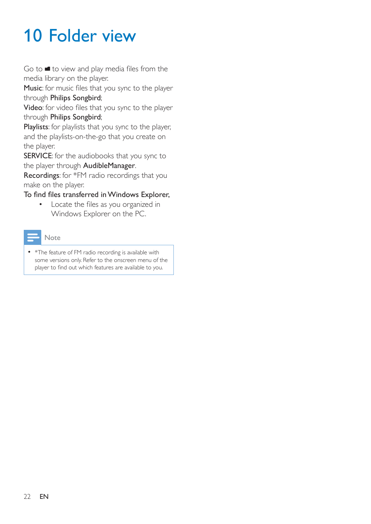## <span id="page-23-0"></span>10 Folder view

Go to  $\blacksquare$  to view and play media files from the media library on the player.

Music: for music files that you sync to the player through Philips Songbird;

Video: for video files that you sync to the player through Philips Songbird;

Playlists: for playlists that you sync to the player, and the playlists-on-the-go that you create on the player.

SERVICE: for the audiobooks that you sync to the player through AudibleManager.

Recordings: for \*FM radio recordings that you make on the player.

### To find files transferred in Windows Explorer,

• Locate the files as you organized in Windows Explorer on the PC.



• \*The feature of FM radio recording is available with some versions only. Refer to the onscreen menu of the player to find out which features are available to you.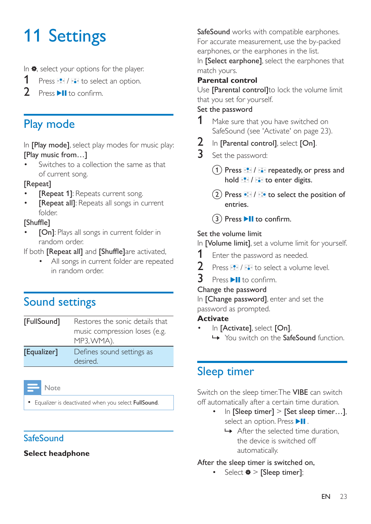## <span id="page-24-0"></span>11 Settings

- In  $*$ , select your options for the player.
- 1 Press  $\frac{1}{2}$  /  $\frac{1}{2}$  to select an option.
- Press **MR** to confirm

## <span id="page-24-1"></span>Play mode

In [Play mode], select play modes for music play: [Play music from…]

 Switches to a collection the same as that of current song.

### [Repeat]

- [Repeat 1]: Repeats current song.
- [Repeat all]: Repeats all songs in current folder.

### [Shuffle]

- [On]: Plays all songs in current folder in random order.
- If both [Repeat all] and [Shuffle]are activated,
	- All songs in current folder are repeated in random order.

## <span id="page-24-2"></span>Sound settings

[FullSound] Restores the sonic details that music compression loses (e.g. MP3, WMA). [Equalizer] Defines sound settings as

desired.



• Equalizer is deactivated when you select FullSound.

### <span id="page-24-3"></span>**SafeSound**

### **Select headphone**

SafeSound works with compatible earphones. For accurate measurement, use the by-packed earphones, or the earphones in the list.

In [Select earphone], select the earphones that match yours.

### **Parental control**

Use [Parental control]to lock the volume limit that you set for yourself.

### Set the password

- **1** Make sure that you have switched on [SafeSound](#page-24-5) (see 'Activate' on page [23\)](#page-24-5).
- 2 In [Parental control], select [On].
- 3 Set the password:
	- $\Omega$  Press  $\mathbb{R}$  /  $\mathbb{R}$  repeatedly, or press and hold  $\frac{1}{2}$  /  $\frac{1}{2}$  to enter digits.
	- $\Omega$  Press  $\bullet$  /  $\bullet$  to select the position of entries.
	- $(3)$  Press  $\blacktriangleright$  **II** to confirm.

### Set the volume limit

In [Volume limit], set a volume limit for yourself.

- **1** Enter the password as needed.
- 2 Press  $\frac{1}{2}$  /  $\frac{1}{2}$  to select a volume level.<br>3 Press III to confirm
- Press ▶II to confirm.

### Change the password

In [Change password], enter and set the password as prompted.

### <span id="page-24-5"></span>**Activate**

- In [Activate], select [On].
	- » You switch on the SafeSound function.

### <span id="page-24-4"></span>Sleep timer

Switch on the sleep timer. The **VIBE** can switch off automatically after a certain time duration.

- In [Sleep timer] > [Set sleep timer…], select an option. Press  $\blacktriangleright$ II.
	- $\rightarrow$  After the selected time duration, the device is switched off automatically.

### After the sleep timer is switched on,

Select  $\clubsuit$  > [Sleep timer];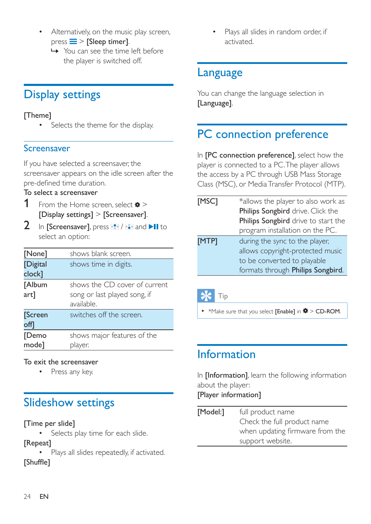- Alternatively, on the music play screen,  $pres \equiv \equiv$  [Sleep timer].
	- » You can see the time left before the player is switched off.

## <span id="page-25-0"></span>Display settings

### [Theme]

Selects the theme for the display.

### <span id="page-25-1"></span>Screensaver

If you have selected a screensaver, the screensaver appears on the idle screen after the pre-defined time duration.

### To select a screensaver

- 1 From the Home screen, select  $\ast$  > [Display settings] > [Screensaver].
- 2 In [Screensaver], press  $\mathbb{R}$  /  $\mathbb{R}$  and  $\blacktriangleright$  II to select an option:

| [None]                | shows blank screen.                                                         |
|-----------------------|-----------------------------------------------------------------------------|
| [Digital<br>clock]    | shows time in digits.                                                       |
| [Album<br>art]        | shows the CD cover of current<br>song or last played song, if<br>available. |
| <b>Screen</b><br>off] | switches off the screen.                                                    |
| [Demo<br>mode]        | shows major features of the                                                 |
|                       | player.                                                                     |

### To exit the screensaver

Press any key.

## <span id="page-25-2"></span>Slideshow settings

### [Time per slide]

• Selects play time for each slide.

### [Repeat]

 Plays all slides repeatedly, if activated. **TShuffle1** 

 Plays all slides in random order, if activated.

### <span id="page-25-3"></span>Language

You can change the language selection in [Language].

## <span id="page-25-4"></span>PC connection preference

In **[PC connection preference]**, select how the player is connected to a PC. The player allows the access by a PC through USB Mass Storage Class (MSC), or Media Transfer Protocol (MTP).

|       | formats through Philips Songbird.   |
|-------|-------------------------------------|
|       | to be converted to playable         |
|       | allows copyright-protected music    |
| [MTP] | during the sync to the player,      |
|       | program installation on the PC.     |
|       | Philips Songbird drive to start the |
|       | Philips Songbird drive. Click the   |
| [MSC] | *allows the player to also work as  |

Tip

•  $M$ ake sure that you select [Enable] in  $\clubsuit >$  CD-ROM.

## <span id="page-25-5"></span>Information

In [Information], learn the following information about the player:

[Player information]

[Model:] full product name Check the full product name when updating firmware from the support website.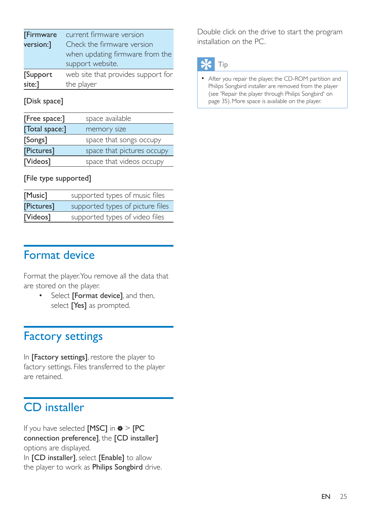| [Firmware | current firmware version           |
|-----------|------------------------------------|
| version:] | Check the firmware version         |
|           | when updating firmware from the    |
|           | support website.                   |
| Support   | web site that provides support for |
| site:]    | the player                         |

[Disk space]

| [Free space:]  | space available            |
|----------------|----------------------------|
| [Total space:] | memory size                |
| [Songs]        | space that songs occupy    |
| [Pictures]     | space that pictures occupy |
| [Videos]       | space that videos occupy   |
|                |                            |

### [File type supported]

| [Music]    | supported types of music files   |
|------------|----------------------------------|
| [Pictures] | supported types of picture files |
| [Videos]   | supported types of video files   |

## <span id="page-26-0"></span>Format device

Format the player. You remove all the data that are stored on the player.

> • Select [Format device], and then, select **[Yes]** as prompted.

## <span id="page-26-1"></span>Factory settings

In [Factory settings], restore the player to factory settings. Files transferred to the player are retained.

## <span id="page-26-2"></span>CD installer

If you have selected [MSC] in  $*$  > [PC connection preference], the [CD installer] options are displayed. In [CD installer], select [Enable] to allow the player to work as Philips Songbird drive.

Double click on the drive to start the program installation on the PC.

## Tip

 [After you repair the player, the CD-ROM partition and](#page-36-0)  [Philips Songbird installer are removed from the player](#page-36-0)  (see 'Repair the player through Philips Songbird' on page [35](#page-36-0)). More space is available on the player.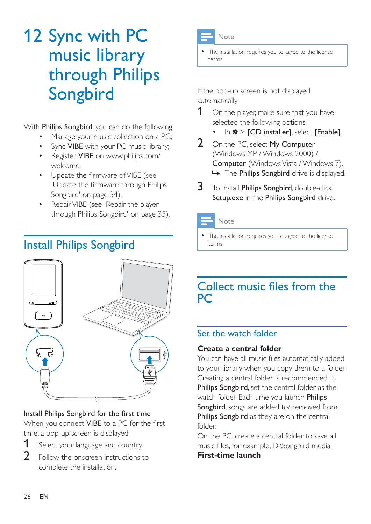## <span id="page-27-0"></span>12 Sync with PC music library through Philips Songbird

With Philips Songbird, you can do the following:

- Manage your music collection on a PC;
- Sync VIBE with your PC music library;
- Register VIBE on [www.philips.com/](http://www.philips.com/welcome) [welcome](http://www.philips.com/welcome);
- Update the firmware of VIBE (see 'Update the firmware through Philips Songbird' on page [34\)](#page-35-0);
- [Repair VIBE](#page-36-0) (see 'Repair the player through Philips Songbird' on page [35](#page-36-0)).

## <span id="page-27-1"></span>Install Philips Songbird



### Install Philips Songbird for the first time When you connect **VIBE** to a PC for the first time, a pop-up screen is displayed:

- **1** Select your language and country.
- 2 Follow the onscreen instructions to complete the installation.



### Note

 The installation requires you to agree to the license terms.

If the pop-up screen is not displayed automatically:

- 1 On the player, make sure that you have selected the following options:
	- In  $\ast$  > [CD installer], select [Enable].
- 2 On the PC, select My Computer (Windows XP / Windows 2000) / Computer (Windows Vista / Windows 7).  $\rightarrow$  The Philips Songbird drive is displayed.
- 3 To install Philips Songbird, double-click Setup.exe in the Philips Songbird drive.

### Note

 The installation requires you to agree to the license terms.

## <span id="page-27-2"></span>Collect music files from the PC

### <span id="page-27-3"></span>Set the watch folder

### **Create a central folder**

You can have all music files automatically added to your library when you copy them to a folder. Creating a central folder is recommended. In Philips Songbird, set the central folder as the watch folder. Each time you launch Philips Songbird, songs are added to/ removed from Philips Songbird as they are on the central folder.

On the PC, create a central folder to save all music files, for example, D:\Songbird media. **First-time launch**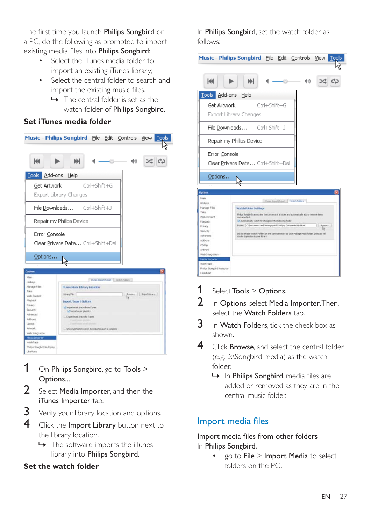The first time you launch Philips Songbird on a PC, do the following as prompted to import existing media files into Philips Songbird:

- Select the iTunes media folder to import an existing iTunes library;
- Select the central folder to search and import the existing music files.
	- $\rightarrow$  The central folder is set as the watch folder of Philips Songbird.

### **Set iTunes media folder**



- 1 On Philips Songbird, go to Tools  $>$ Options...
- 2 Select Media Importer, and then the iTunes Importer tab.
- $3$  Verify your library location and options.
- 4 Click the Import Library button next to the library location.
	- $\rightarrow$  The software imports the iTunes library into Philips Songbird.

### **Set the watch folder**

In Philips Songbird, set the watch folder as follows:



- 1 Select Tools  $>$  Options.
- $2$  In Options, select Media Importer. Then, select the Watch Folders tab.
- $3$  In Watch Folders, tick the check box as shown.
- 4 Click Browse, and select the central folder (e.g.D:\Songbird media) as the watch folder.
	- $\rightarrow$  In Philips Songbird, media files are added or removed as they are in the central music folder.

### <span id="page-28-0"></span>Import media files

### Import media files from other folders In Philips Songbird,

 go to File > Import Media to select folders on the PC.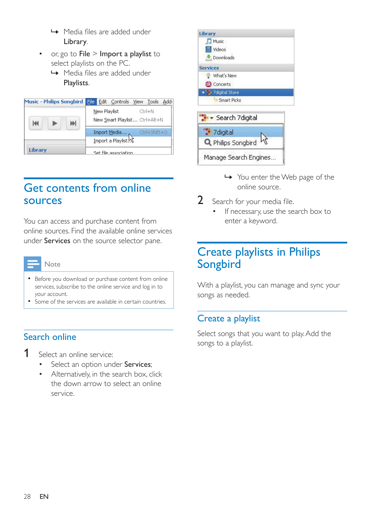- $\rightarrow$  Media files are added under Library.
- or, go to File > Import a playlist to select playlists on the PC.
	- → Media files are added under Playlists.

| <b>Music - Philips Songbird</b> | File |              | Edit Controls View Tools      |                | Add- |
|---------------------------------|------|--------------|-------------------------------|----------------|------|
| КK<br>ж                         |      | New Playlist | New Smart Playlist Ctrl+Alt+N | $C$ Fr $I + N$ |      |
|                                 |      |              | Import Media                  | Ctrl+Shift+O   |      |
|                                 |      |              | Import a Playlist             |                |      |
| <b>Library</b>                  |      |              | Set file association          |                |      |

### <span id="page-29-0"></span>Get contents from online sources

You can access and purchase content from online sources. Find the available online services under Services on the source selector pane.

- Before you download or purchase content from online services, subscribe to the online service and log in to your account.
- Some of the services are available in certain countries.

### <span id="page-29-1"></span>Search online

- 1 Select an online service:
	- Select an option under Services;
	- Alternatively, in the search box, click the down arrow to select an online service.



- » You enter the Web page of the online source.
- 2 Search for your media file.
	- If necessary, use the search box to enter a keyword.

### <span id="page-29-2"></span>Create playlists in Philips Songbird

With a playlist, you can manage and sync your songs as needed.

### <span id="page-29-3"></span>Create a playlist

Select songs that you want to play. Add the songs to a playlist.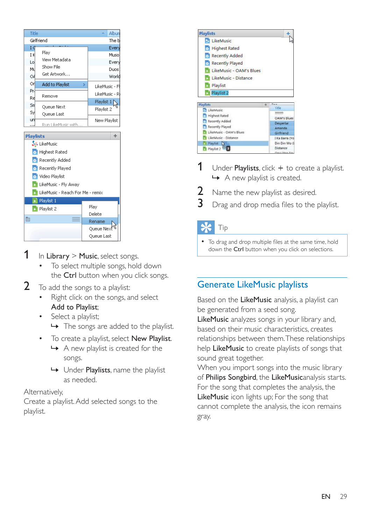| Title            |                                  | Albun                       |
|------------------|----------------------------------|-----------------------------|
|                  | Girlfriend                       | The b                       |
| ΙG               |                                  | Every                       |
| ΙK               | Play                             | Muso                        |
| Lol              | View Metadata                    | Every                       |
| Mu               | Show File<br>Get Artwork         | Duos                        |
| ٥A               |                                  | World                       |
| Оr               | Add to Playlist<br>⋟             | LikeMusic - Fl <sup>i</sup> |
| Pr.<br>Re        | Remove                           | LikeMusic - Ri              |
| Sm               |                                  | Playlist 1                  |
| Sу               | Queue Next                       | Playlist 2                  |
| uni              | Oueue Last                       | New Playlist                |
| u d              | Run LikeMusic with               |                             |
| <b>Playlists</b> |                                  | ÷                           |
|                  | <b>SR LikeMusic</b>              |                             |
|                  | Highest Rated                    |                             |
|                  | Recently Added                   |                             |
|                  | Recently Played                  |                             |
|                  | Video Playlist                   |                             |
|                  | LikeMusic - Fly Away             |                             |
|                  | LikeMusic - Reach For Me - remix |                             |
|                  | Playlist 1                       |                             |
|                  |                                  | Play                        |
|                  | Playlist 2                       | Delete                      |
| 圁                |                                  | Rename                      |
|                  |                                  | Oueue Next                  |
|                  |                                  | Queue Last                  |

- 1 In Library  $>$  Music, select songs.
	- To select multiple songs, hold down the Ctrl button when you click songs.
- 2 To add the songs to a playlist:
	- Right click on the songs, and select Add to Playlist;
		- Select a playlist;
			- → The songs are added to the playlist.
	- To create a playlist, select New Playlist.
		- $\rightarrow$  A new playlist is created for the songs.
		- » Under Playlists, name the playlist as needed.

### Alternatively,

Create a playlist. Add selected songs to the playlist.



- 1 Under Playlists, click  $+$  to create a playlist.  $\rightarrow$  A new playlist is created.
- **2** Name the new playlist as desired.
- $3$  Drag and drop media files to the playlist.

### Tip

• To drag and drop multiple files at the same time, hold down the Ctrl button when you click on selections.

### <span id="page-30-0"></span>Generate LikeMusic playlists

Based on the LikeMusic analysis, a playlist can be generated from a seed song.

LikeMusic analyzes songs in your library and, based on their music characteristics, creates relationships between them. These relationships help LikeMusic to create playlists of songs that sound great together.

When you import songs into the music library of Philips Songbird, the LikeMusicanalysis starts. For the song that completes the analysis, the LikeMusic icon lights up; For the song that cannot complete the analysis, the icon remains gray.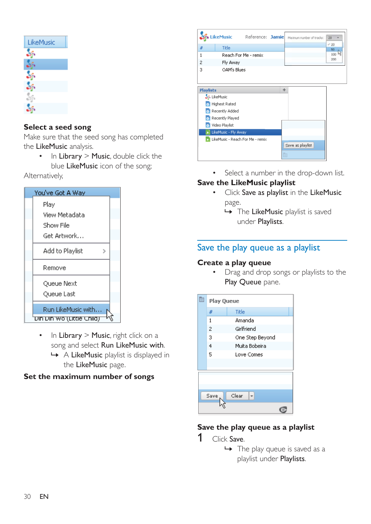| LikeMusic |  |
|-----------|--|
|           |  |
|           |  |
|           |  |
|           |  |
|           |  |
|           |  |

### **Select a seed song**

Make sure that the seed song has completed the LikeMusic analysis.

> $\cdot$  In Library > Music, double click the blue LikeMusic icon of the song;

Alternatively,

| You've Got A Way                 |
|----------------------------------|
| Play                             |
| View Metadata                    |
| Show File                        |
| Get Artwork…                     |
| Add to Playlist                  |
| Remove                           |
| Queue Next                       |
| Queue Last                       |
| Run LikeMusic with               |
| <u>Din Din Wolltittle Child)</u> |

- In Library > Music, right click on a song and select Run LikeMusic with.
	- » A LikeMusic playlist is displayed in the LikeMusic page.

### **Set the maximum number of songs**

|                  |                      | LikeMusic Reference: Jamie       |   | Mainum number of tracks: | 20<br>$-20$ |
|------------------|----------------------|----------------------------------|---|--------------------------|-------------|
| #                | Title                |                                  |   |                          | 50          |
| 1                |                      | Reach For Me - remix             |   |                          | 100         |
| $\overline{c}$   | Fly Away             |                                  |   |                          | 200         |
| 3                | OAM's Blues          |                                  |   |                          |             |
|                  |                      |                                  |   |                          |             |
| <b>Playlists</b> |                      |                                  | ÷ |                          |             |
|                  | SS LikeMusic         |                                  |   |                          |             |
|                  | Highest Rated        |                                  |   |                          |             |
|                  | Recently Added       |                                  |   |                          |             |
|                  | Recently Played      |                                  |   |                          |             |
|                  |                      |                                  |   |                          |             |
|                  | Video Playlist       |                                  |   |                          |             |
|                  | LikeMusic - Fly Away |                                  |   |                          |             |
|                  |                      | LikeMusic - Reach For Me - remix |   | Save as playlist         |             |

• Select a number in the drop-down list.

### **Save the LikeMusic playlist**

- Click Save as playlist in the LikeMusic page.
	- → The LikeMusic playlist is saved under Playlists.

### <span id="page-31-0"></span>Save the play queue as a playlist

### **Create a play queue**

 Drag and drop songs or playlists to the Play Queue pane.

| 圁 | <b>Play Queue</b> |                 |
|---|-------------------|-----------------|
|   | #                 | Title           |
|   | 1                 | Amanda          |
|   | 2                 | Girlfriend      |
|   | 3                 | One Step Beyond |
|   | $\overline{4}$    | Muita Bobeira   |
|   | 5                 | Love Comes      |
|   |                   |                 |
|   |                   |                 |
|   | Save              | Clear           |

### **Save the play queue as a playlist**

- 1 Click Save.
	- $\rightarrow$  The play queue is saved as a playlist under Playlists.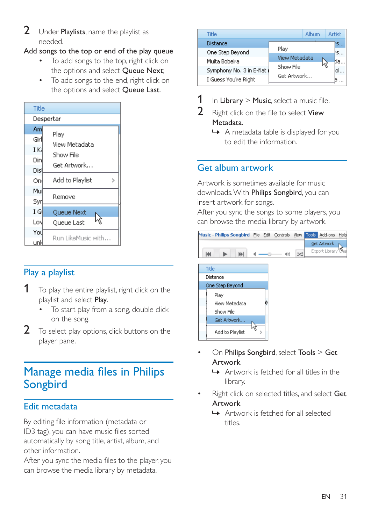2 Under Playlists, name the playlist as needed.

### Add songs to the top or end of the play queue

- To add songs to the top, right click on the options and select Queue Next;
- To add songs to the end, right click on the options and select Queue Last.

| Title     |                      |  |
|-----------|----------------------|--|
| Despertar |                      |  |
| Aml       | Play                 |  |
| Girl      | View Metadata        |  |
| I Ka      | Show File            |  |
| Din       | Get Artwork          |  |
| Disl      |                      |  |
| Oni       | Add to Playlist<br>5 |  |
| Mui       |                      |  |
| Syr       | Remove               |  |
| ΙGΙ       | Queue Next           |  |
| Lovl      | Queue Last           |  |
| You       | Run LikeMusic with   |  |
|           |                      |  |

### <span id="page-32-0"></span>Play a playlist

- $1$  To play the entire playlist, right click on the playlist and select Play.
	- To start play from a song, double click on the song.
- 2 To select play options, click buttons on the player pane.

## <span id="page-32-1"></span>Manage media files in Philips Songbird

### <span id="page-32-2"></span>Edit metadata

By editing file information (metadata or ID3 tag), you can have music files sorted automatically by song title, artist, album, and other information.

After you sync the media files to the player, you can browse the media library by metadata.

| Title                      |                      | Album | <b>Artist</b> |
|----------------------------|----------------------|-------|---------------|
| Distance                   |                      |       | <b>KS</b>     |
| One Step Beyond            | Play                 |       | łs…           |
| Muita Bobeira              | <b>View Metadata</b> |       | tia           |
| Symphony No. 3 in E-flat ( | Show File            |       | oL.           |
| I Guess You're Right       | Get Artwork          |       |               |

- 1 In Library  $>$  Music, select a music file.<br>2 Bight click on the file to select View
- Right click on the file to select View Metadata.
	- » A metadata table is displayed for you to edit the information.

### <span id="page-32-3"></span>Get album artwork

Artwork is sometimes available for music downloads. With Philips Songbird, you can insert artwork for songs.

After you sync the songs to some players, you can browse the media library by artwork.





- On Philips Songbird, select Tools > Get Artwork.
	- » Artwork is fetched for all titles in the library.
- Right click on selected titles, and select Get Artwork.
	- » Artwork is fetched for all selected titles.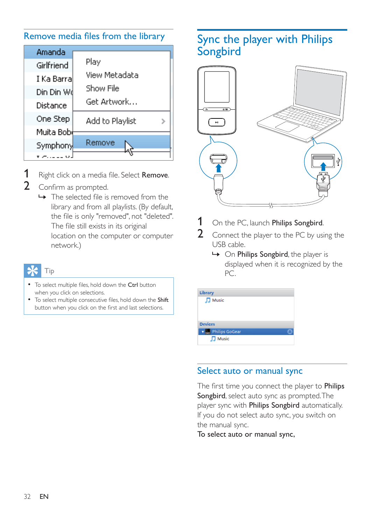### Remove media files from the library

<span id="page-33-0"></span>

| Amanda      |                 |
|-------------|-----------------|
| Girlfriend  | Play            |
| I Ka Barral | View Metadata   |
| Din Din Wd  | Show File       |
| Distance    | Get Artwork     |
| One Step    | Add to Playlist |
| Muita Bobl  |                 |
| Symphony    | Remove          |
| لان بربرده  |                 |
|             |                 |

- 1 Right click on a media file. Select Remove.
- 2 Confirm as prompted.
	- $\rightarrow$  The selected file is removed from the library and from all playlists. (By default, the file is only "removed", not "deleted". The file still exists in its original location on the computer or computer network.)

### Tip

- To select multiple files, hold down the Ctrl button when you click on selections.
- To select multiple consecutive files, hold down the Shift button when you click on the first and last selections.

## <span id="page-33-1"></span>Sync the player with Philips Songbird



1 On the PC, launch Philips Songbird.

2 Connect the player to the PC by using the USB cable.

→ On **Philips Songbird**, the player is displayed when it is recognized by the PC.

| Library          |  |
|------------------|--|
| $\Box$ Music     |  |
|                  |  |
|                  |  |
| <b>Devices</b>   |  |
| v Philips GoGear |  |
| $\Box$ Music     |  |

### <span id="page-33-2"></span>Select auto or manual sync

The first time you connect the player to **Philips** Songbird, select auto sync as prompted. The player sync with Philips Songbird automatically. If you do not select auto sync, you switch on the manual sync.

To select auto or manual sync,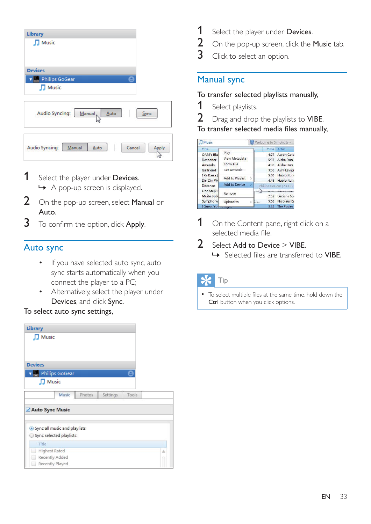| Library                                           |       |
|---------------------------------------------------|-------|
| Music<br>ı                                        |       |
|                                                   |       |
|                                                   |       |
| <b>Devices</b>                                    |       |
| <b>Philips GoGear</b><br>e                        |       |
| Music<br>п                                        |       |
|                                                   |       |
| <b>Audio Syncing:</b><br>Manual,<br>Auto          | Sync  |
| <b>Audio Syncing:</b><br>Manual<br>Cancel<br>Auto | Apply |

- 1 Select the player under Devices. » A pop-up screen is displayed.
- 2 On the pop-up screen, select Manual or Auto.
- 3 To confirm the option, click Apply.

### <span id="page-34-0"></span>Auto sync

- If you have selected auto sync, auto sync starts automatically when you connect the player to a PC;
- Alternatively, select the player under Devices, and click Sync.

#### To select auto sync settings,

| <b>Library</b>                 |        |          |       |   |
|--------------------------------|--------|----------|-------|---|
| Music                          |        |          |       |   |
|                                |        |          |       |   |
|                                |        |          |       |   |
| <b>Devices</b>                 |        |          |       |   |
| <b>Philips GoGear</b>          |        |          | ≞     |   |
| Music                          |        |          |       |   |
| Music                          | Photos | Settings | Tools |   |
| Auto Sync Music                |        |          |       |   |
| · Sync all music and playlists |        |          |       |   |
| Sync selected playlists:       |        |          |       |   |
| Title                          |        |          |       |   |
| <b>Highest Rated</b>           |        |          |       | Α |
| Recently Added                 |        |          |       |   |
| Recently Played<br>BS.         |        |          |       |   |

- 1 Select the player under Devices.<br>2 On the pop-up screen, click the I
- 2 On the pop-up screen, click the **Music** tab.<br>3 Click to select an option
- Click to select an option.

### <span id="page-34-1"></span>Manual sync

### To transfer selected playlists manually,

- **1** Select playlists.
- 2 Drag and drop the playlists to VIBE.

To transfer selected media files manually,

| <b>I</b> Music     |                        |                          |        |             | Welcome to Simplicity   |
|--------------------|------------------------|--------------------------|--------|-------------|-------------------------|
| <b>Title</b>       |                        |                          |        |             | Time Artist             |
| OAM's Blu          | Play                   |                          |        | 4:27        | Aaron Gold              |
| Despertar          | View Metadata          |                          |        | 5:07        | Aisha Duo               |
| Amanda             | Show File              |                          |        | 4:06        | Aisha Duo               |
| Girlfriend         | Get Artwork            |                          |        |             | 3:36 Avril Lavign       |
| I Ka Barra (       |                        |                          |        | 5:00        | <b>Habib Koite</b>      |
| Din Din Wo         | <b>Add to Playlist</b> | $\overline{\phantom{a}}$ |        |             | 4:45 Habib Koite        |
| <b>Distance</b>    | <b>Add to Device</b>   |                          |        |             | Philips GoGear (7.4 GB) |
| One Step B         | Remove                 |                          |        | <b>TENT</b> | NOTOTT NOTOT            |
| Muita Bobi         |                        |                          |        | 2:52        | Luciana Sol             |
| Symphony           | Upload to              |                          | $> 0.$ | 5.56        | Nicolaus Es             |
| I Guess You remmmm |                        |                          |        | 3:32        | The Posies              |

- 1 On the Content pane, right click on a selected media file.
- 2 Select Add to Device  $>$  VIBE.
	- $\rightarrow$  Selected files are transferred to VIBE.



• To select multiple files at the same time, hold down the Ctrl button when you click options.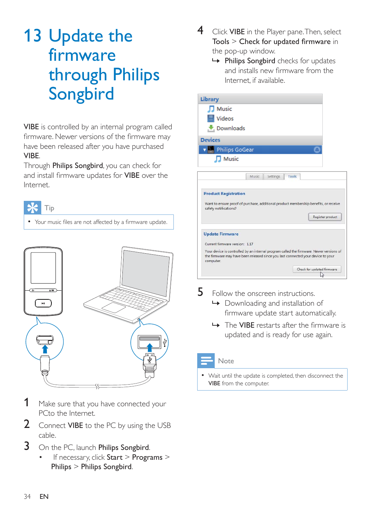## <span id="page-35-0"></span>13 Update the firmware through Philips Songbird

VIBE is controlled by an internal program called firmware. Newer versions of the firmware may have been released after you have purchased VIBE.

Through Philips Songbird, you can check for and install firmware updates for VIBE over the Internet.





- 1 Make sure that you have connected your PCto the Internet.
- 2 Connect VIBE to the PC by using the USB cable.
- 3 On the PC, launch Philips Songbird.
	- If necessary, click Start > Programs > Philips > Philips Songbird.
- 4 Click VIBE in the Player pane. Then, select  $Tools > Check$  for updated firmware in the pop-up window.
	- » Philips Songbird checks for updates and installs new firmware from the Internet, if available.

| <b>Library</b>                                                                                                                                                                           |                            |
|------------------------------------------------------------------------------------------------------------------------------------------------------------------------------------------|----------------------------|
| Music                                                                                                                                                                                    |                            |
| Videos                                                                                                                                                                                   |                            |
| Downloads                                                                                                                                                                                |                            |
| <b>Devices</b>                                                                                                                                                                           |                            |
| Philips GoGear                                                                                                                                                                           |                            |
| $\Box$ Music                                                                                                                                                                             |                            |
| Settings<br>Music                                                                                                                                                                        | Tools                      |
| <b>Product Registration</b><br>Want to ensure proof of purchase, additional product membership benefits, or receive                                                                      |                            |
| safety notifications?                                                                                                                                                                    | Register product           |
| <b>Update Firmware</b>                                                                                                                                                                   |                            |
| Current firmware version: 117                                                                                                                                                            |                            |
| Your device is controlled by an internal program called the firmware. Newer versions of<br>the firmware may have been released since you last connected your device to your<br>computer. |                            |
|                                                                                                                                                                                          | Check for updated firmware |

- 5 Follow the onscreen instructions.
	- » Downloading and installation of firmware update start automatically.
	- $\rightarrow$  The VIBE restarts after the firmware is updated and is ready for use again.

### Note

 Wait until the update is completed, then disconnect the VIBE from the computer.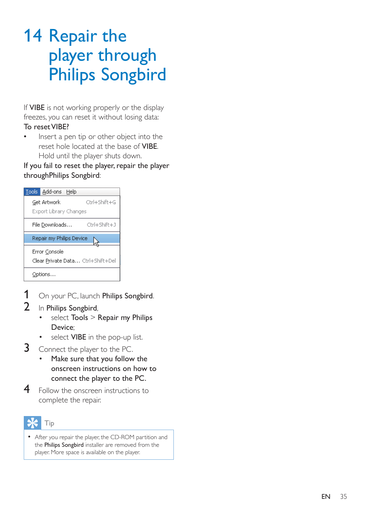## <span id="page-36-0"></span>14 Repair the player through Philips Songbird

If **VIBE** is not working properly or the display freezes, you can reset it without losing data:

#### To reset VIBE?

 Insert a pen tip or other object into the reset hole located at the base of VIBE. Hold until the player shuts down.

If you fail to reset the player, repair the player throughPhilips Songbird:

|                        | Tools Add-ons Help         |                                   |
|------------------------|----------------------------|-----------------------------------|
|                        | Get Artwork                | Ctrl+Shift+G                      |
| Export Library Changes |                            |                                   |
|                        | File Downloads             | Ctrl+Shift+J                      |
|                        | Repair my Philips Device   |                                   |
| Error Console          |                            |                                   |
|                        |                            | Clear Private Data Ctrl+Shift+Del |
|                        | Options…                   |                                   |
|                        |                            | On your PC, launch <b>Philips</b> |
|                        | In <b>Philips Conshird</b> |                                   |

- 1 On your PC, launch Philips Songbird.
- 2 In Philips Songbird,
	- select Tools > Repair my Philips Device;
	- select **VIBE** in the pop-up list.
- 3 Connect the player to the PC.
	- Make sure that you follow the onscreen instructions on how to connect the player to the PC.
- 4 Follow the onscreen instructions to complete the repair.



 After you repair the player, the CD-ROM partition and the Philips Songbird installer are removed from the player. More space is available on the player.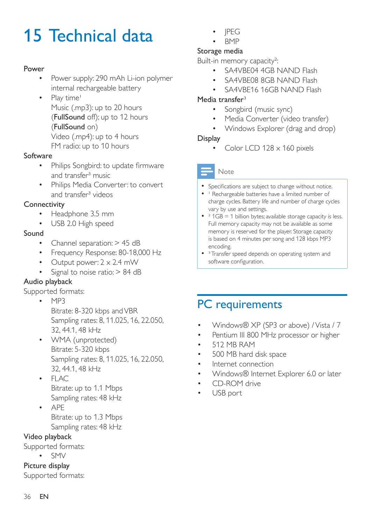## <span id="page-37-0"></span>15 Technical data

### Power

- Power supply: 290 mAh Li-ion polymer internal rechargeable battery
- Play time<sup>1</sup> Music (.mp3): up to 20 hours (FullSound off); up to 12 hours (FullSound on) Video (.mp4): up to 4 hours FM radio: up to 10 hours

#### Software

- Philips Songbird: to update firmware and transfer<sup>3</sup> music
- Philips Media Converter: to convert and transfer<sup>3</sup> videos

### **Connectivity**

- Headphone 3.5 mm
- USB 2.0 High speed

### Sound

- Channel separation: > 45 dB
- Frequency Response: 80-18,000 Hz
- Output power:  $2 \times 2.4$  mW
- Signal to noise ratio: > 84 dB

### Audio playback

Supported formats:

- $-MP3$ Bitrate: 8-320 kbps and VBR Sampling rates: 8, 11.025, 16, 22.050, 32, 44.1, 48 kHz
- WMA (unprotected) Bitrate: 5-320 kbps Sampling rates: 8, 11.025, 16, 22.050, 32, 44.1, 48 kHz
- $\cdot$  FLAC Bitrate: up to 1.1 Mbps Sampling rates: 48 kHz
- APE Bitrate: up to 1.3 Mbps Sampling rates: 48 kHz

### Video playback

Supported formats:

 $\cdot$  SMV

Picture display Supported formats:

- JPEG
- **BMP**

### Storage media

Built-in memory capacity²:

- SA4VBE04 4GB NAND Flash
- SA4VBE08 8GB NAND Flash
- SA4VBE16 16GB NAND Flash

### Media transfer<sup>3</sup>

- Songbird (music sync)
- Media Converter (video transfer)
- Windows Explorer (drag and drop)

### **Display**

Color LCD 128 x 160 pixels

### Note

- Specifications are subject to change without notice.
- I Rechargeable batteries have a limited number of charge cycles. Battery life and number of charge cycles vary by use and settings.
- $\bullet$   $\degree$  1GB = 1 billion bytes; available storage capacity is less. Full memory capacity may not be available as some memory is reserved for the player. Storage capacity is based on 4 minutes per song and 128 kbps MP3 encoding.
- <sup>3</sup> Transfer speed depends on operating system and software configuration.

## <span id="page-37-1"></span>PC requirements

- Windows® XP (SP3 or above) / Vista / 7
- Pentium III 800 MHz processor or higher
- 512 MB RAM
- 500 MB hard disk space
- Internet connection
- Windows® Internet Explorer 6.0 or later
- CD-ROM drive
- USB port